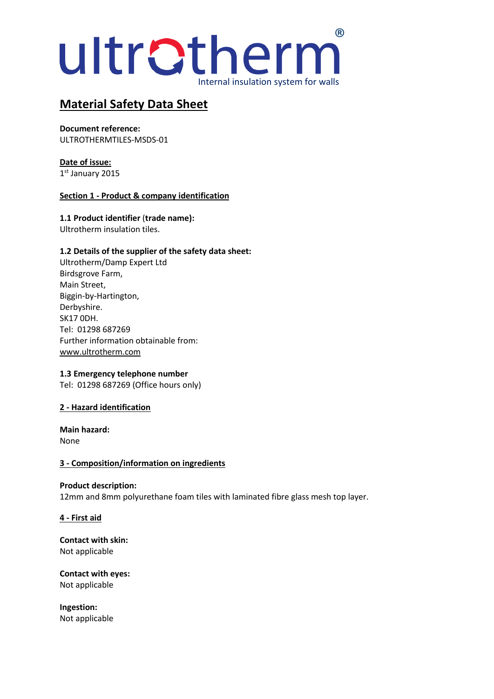# Internal insulation system for walls ultratherm®

# **Material Safety Data Sheet**

**Document reference:** ULTROTHERMTILES-MSDS-01

**Date of issue:** 1 st January 2015

## **Section 1 - Product & company identification**

**1.1 Product identifier** (**trade name):** Ultrotherm insulation tiles.

## **1.2 Details of the supplier of the safety data sheet:**

Ultrotherm/Damp Expert Ltd Birdsgrove Farm, Main Street, Biggin-by-Hartington, Derbyshire. SK17 0DH. Tel: 01298 687269 Further information obtainable from: [www.ultrotherm.com](http://www.ultrotherm.com/)

#### **1.3 Emergency telephone number**

Tel: 01298 687269 (Office hours only)

#### **2 - Hazard identification**

**Main hazard:** None

#### **3 - Composition/information on ingredients**

# **Product description:**

12mm and 8mm polyurethane foam tiles with laminated fibre glass mesh top layer.

#### **4 - First aid**

**Contact with skin:** Not applicable

**Contact with eyes:** Not applicable

**Ingestion:** Not applicable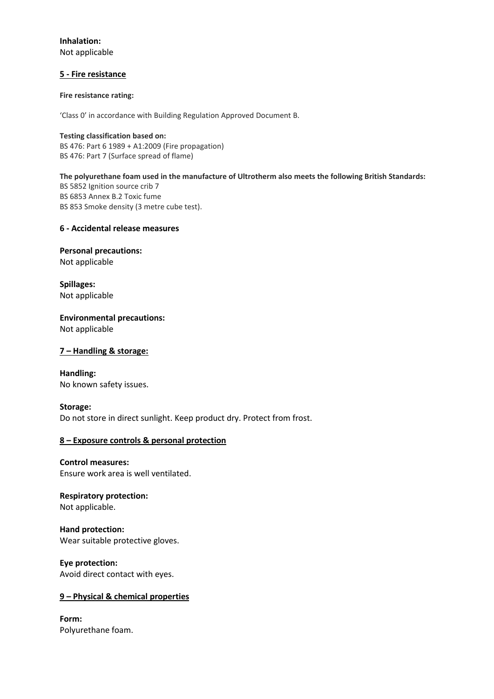**Inhalation:** Not applicable

#### **5 - Fire resistance**

#### **Fire resistance rating:**

'Class 0' in accordance with Building Regulation Approved Document B.

**Testing classification based on:** BS 476: Part 6 1989 + A1:2009 (Fire propagation) BS 476: Part 7 (Surface spread of flame)

#### **The polyurethane foam used in the manufacture of Ultrotherm also meets the following British Standards:**

BS 5852 Ignition source crib 7 BS 6853 Annex B.2 Toxic fume BS 853 Smoke density (3 metre cube test).

#### **6 - Accidental release measures**

**Personal precautions:** Not applicable

**Spillages:** Not applicable

**Environmental precautions:** Not applicable

#### **7 – Handling & storage:**

**Handling:** No known safety issues.

#### **Storage:**

Do not store in direct sunlight. Keep product dry. Protect from frost.

#### **8 – Exposure controls & personal protection**

**Control measures:** Ensure work area is well ventilated.

# **Respiratory protection:**

Not applicable.

**Hand protection:** Wear suitable protective gloves.

**Eye protection:** Avoid direct contact with eyes.

#### **9 – Physical & chemical properties**

**Form:** Polyurethane foam.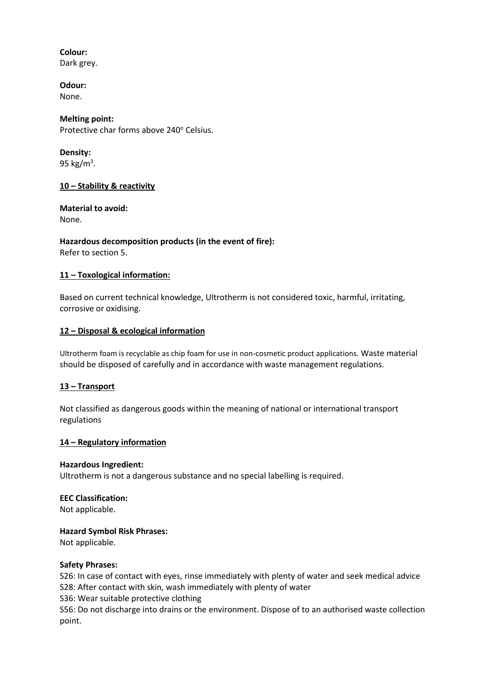## **Colour:**

Dark grey.

## **Odour:**

None.

## **Melting point:**

Protective char forms above 240° Celsius.

# **Density:**

95 kg/m<sup>3</sup>.

## **10 – Stability & reactivity**

# **Material to avoid:**

None.

## **Hazardous decomposition products (in the event of fire):** Refer to section 5.

# **11 – Toxological information:**

Based on current technical knowledge, Ultrotherm is not considered toxic, harmful, irritating, corrosive or oxidising.

# **12 – Disposal & ecological information**

Ultrotherm foam is recyclable as chip foam for use in non-cosmetic product applications. Waste material should be disposed of carefully and in accordance with waste management regulations.

# **13 – Transport**

Not classified as dangerous goods within the meaning of national or international transport regulations

# **14 – Regulatory information**

# **Hazardous Ingredient:**

Ultrotherm is not a dangerous substance and no special labelling is required.

# **EEC Classification:**

Not applicable.

# **Hazard Symbol Risk Phrases:**

Not applicable.

# **Safety Phrases:**

S26: In case of contact with eyes, rinse immediately with plenty of water and seek medical advice S28: After contact with skin, wash immediately with plenty of water

S36: Wear suitable protective clothing

S56: Do not discharge into drains or the environment. Dispose of to an authorised waste collection point.